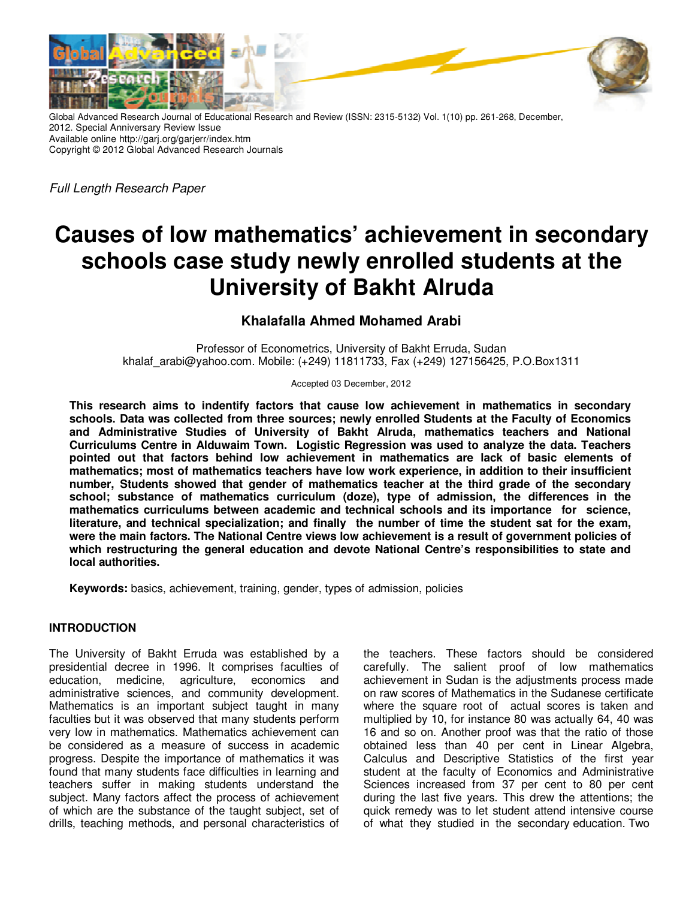

Global Advanced Research Journal of Educational Research and Review (ISSN: 2315-5132) Vol. 1(10) pp. 261-268, December, 2012. Special Anniversary Review Issue Available online http://garj.org/garjerr/index.htm Copyright © 2012 Global Advanced Research Journals

Full Length Research Paper

# **Causes of low mathematics' achievement in secondary schools case study newly enrolled students at the University of Bakht Alruda**

# **Khalafalla Ahmed Mohamed Arabi**

Professor of Econometrics, University of Bakht Erruda, Sudan khalaf\_arabi@yahoo.com. Mobile: (+249) 11811733, Fax (+249) 127156425, P.O.Box1311

Accepted 03 December, 2012

**This research aims to indentify factors that cause low achievement in mathematics in secondary schools. Data was collected from three sources; newly enrolled Students at the Faculty of Economics and Administrative Studies of University of Bakht Alruda, mathematics teachers and National Curriculums Centre in Alduwaim Town. Logistic Regression was used to analyze the data. Teachers pointed out that factors behind low achievement in mathematics are lack of basic elements of mathematics; most of mathematics teachers have low work experience, in addition to their insufficient number, Students showed that gender of mathematics teacher at the third grade of the secondary school; substance of mathematics curriculum (doze), type of admission, the differences in the mathematics curriculums between academic and technical schools and its importance for science, literature, and technical specialization; and finally the number of time the student sat for the exam, were the main factors. The National Centre views low achievement is a result of government policies of which restructuring the general education and devote National Centre's responsibilities to state and local authorities.** 

**Keywords:** basics, achievement, training, gender, types of admission, policies

# **INTRODUCTION**

The University of Bakht Erruda was established by a presidential decree in 1996. It comprises faculties of education, medicine, agriculture, economics and administrative sciences, and community development. Mathematics is an important subject taught in many faculties but it was observed that many students perform very low in mathematics. Mathematics achievement can be considered as a measure of success in academic progress. Despite the importance of mathematics it was found that many students face difficulties in learning and teachers suffer in making students understand the subject. Many factors affect the process of achievement of which are the substance of the taught subject, set of drills, teaching methods, and personal characteristics of

the teachers. These factors should be considered carefully. The salient proof of low mathematics achievement in Sudan is the adjustments process made on raw scores of Mathematics in the Sudanese certificate where the square root of actual scores is taken and multiplied by 10, for instance 80 was actually 64, 40 was 16 and so on. Another proof was that the ratio of those obtained less than 40 per cent in Linear Algebra, Calculus and Descriptive Statistics of the first year student at the faculty of Economics and Administrative Sciences increased from 37 per cent to 80 per cent during the last five years. This drew the attentions; the quick remedy was to let student attend intensive course of what they studied in the secondary education. Two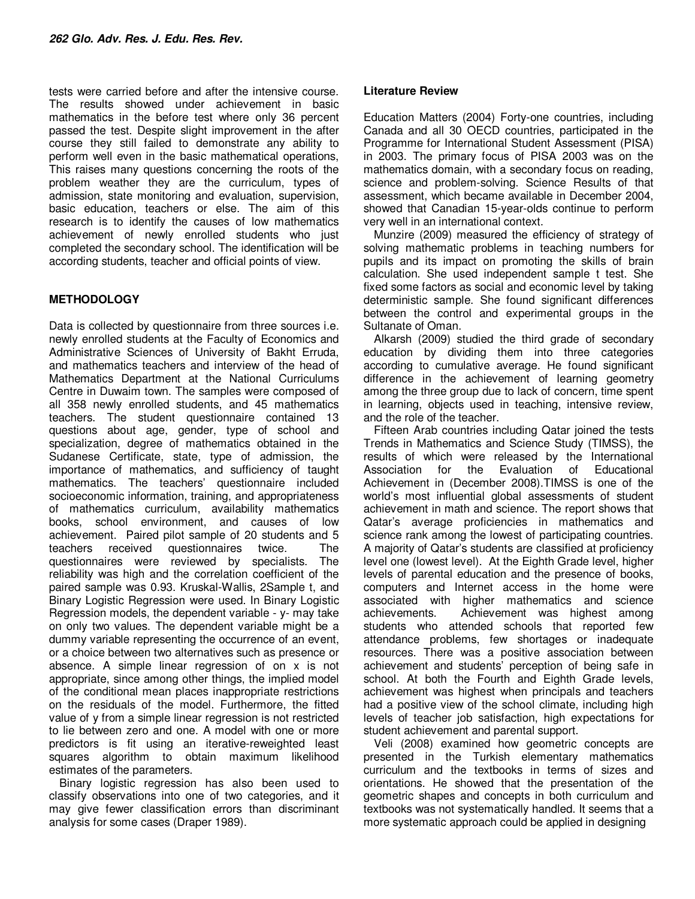tests were carried before and after the intensive course. The results showed under achievement in basic mathematics in the before test where only 36 percent passed the test. Despite slight improvement in the after course they still failed to demonstrate any ability to perform well even in the basic mathematical operations, This raises many questions concerning the roots of the problem weather they are the curriculum, types of admission, state monitoring and evaluation, supervision, basic education, teachers or else. The aim of this research is to identify the causes of low mathematics achievement of newly enrolled students who just completed the secondary school. The identification will be according students, teacher and official points of view.

# **METHODOLOGY**

Data is collected by questionnaire from three sources i.e. newly enrolled students at the Faculty of Economics and Administrative Sciences of University of Bakht Erruda, and mathematics teachers and interview of the head of Mathematics Department at the National Curriculums Centre in Duwaim town. The samples were composed of all 358 newly enrolled students, and 45 mathematics teachers. The student questionnaire contained 13 questions about age, gender, type of school and specialization, degree of mathematics obtained in the Sudanese Certificate, state, type of admission, the importance of mathematics, and sufficiency of taught mathematics. The teachers' questionnaire included socioeconomic information, training, and appropriateness of mathematics curriculum, availability mathematics books, school environment, and causes of low achievement. Paired pilot sample of 20 students and 5 teachers received questionnaires twice. The questionnaires were reviewed by specialists. The reliability was high and the correlation coefficient of the paired sample was 0.93. Kruskal-Wallis, 2Sample t, and Binary Logistic Regression were used. In Binary Logistic Regression models, the dependent variable - y- may take on only two values. The dependent variable might be a dummy variable representing the occurrence of an event, or a choice between two alternatives such as presence or absence. A simple linear regression of on x is not appropriate, since among other things, the implied model of the conditional mean places inappropriate restrictions on the residuals of the model. Furthermore, the fitted value of y from a simple linear regression is not restricted to lie between zero and one. A model with one or more predictors is fit using an iterative-reweighted least squares algorithm to obtain maximum likelihood estimates of the parameters.

Binary logistic regression has also been used to classify observations into one of two categories, and it may give fewer classification errors than discriminant analysis for some cases (Draper 1989).

## **Literature Review**

Education Matters (2004) Forty-one countries, including Canada and all 30 OECD countries, participated in the Programme for International Student Assessment (PISA) in 2003. The primary focus of PISA 2003 was on the mathematics domain, with a secondary focus on reading, science and problem-solving. Science Results of that assessment, which became available in December 2004, showed that Canadian 15-year-olds continue to perform very well in an international context.

Munzire (2009) measured the efficiency of strategy of solving mathematic problems in teaching numbers for pupils and its impact on promoting the skills of brain calculation. She used independent sample t test. She fixed some factors as social and economic level by taking deterministic sample. She found significant differences between the control and experimental groups in the Sultanate of Oman.

Alkarsh (2009) studied the third grade of secondary education by dividing them into three categories according to cumulative average. He found significant difference in the achievement of learning geometry among the three group due to lack of concern, time spent in learning, objects used in teaching, intensive review, and the role of the teacher.

Fifteen Arab countries including Qatar joined the tests Trends in Mathematics and Science Study (TIMSS), the results of which were released by the International Association for the Evaluation of Educational Achievement in (December 2008).TIMSS is one of the world's most influential global assessments of student achievement in math and science. The report shows that Qatar's average proficiencies in mathematics and science rank among the lowest of participating countries. A majority of Qatar's students are classified at proficiency level one (lowest level). At the Eighth Grade level, higher levels of parental education and the presence of books, computers and Internet access in the home were associated with higher mathematics and science achievements. Achievement was highest among students who attended schools that reported few attendance problems, few shortages or inadequate resources. There was a positive association between achievement and students' perception of being safe in school. At both the Fourth and Eighth Grade levels, achievement was highest when principals and teachers had a positive view of the school climate, including high levels of teacher job satisfaction, high expectations for student achievement and parental support.

Veli (2008) examined how geometric concepts are presented in the Turkish elementary mathematics curriculum and the textbooks in terms of sizes and orientations. He showed that the presentation of the geometric shapes and concepts in both curriculum and textbooks was not systematically handled. It seems that a more systematic approach could be applied in designing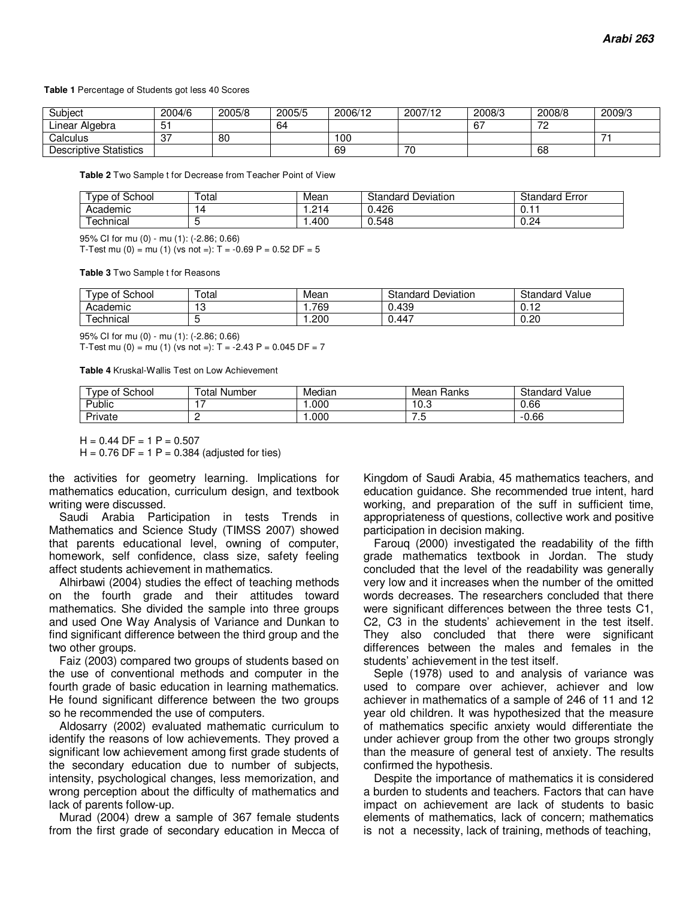#### **Table 1** Percentage of Students got less 40 Scores

| Subject                       | 2004/6        | 2005/8 | 2005/5 | 2006/12 | 2007/12 | 2008/3 | 2008/8         | 2009/3        |
|-------------------------------|---------------|--------|--------|---------|---------|--------|----------------|---------------|
| ∟inear<br>Algebra             | ັ             |        | 64     |         |         | . 67   | 70<br><u>_</u> |               |
| Calculus                      | $\sim$<br>. پ | 80     |        | 100     |         |        |                | $\rightarrow$ |
| <b>Descriptive Statistics</b> |               |        |        | 69      | 70      |        | 68             |               |

**Table 2** Two Sample t for Decrease from Teacher Point of View

| $\sim$<br>School<br><b>vpe</b><br>0t | Total | Mean   | Standard<br>Deviation | $\overline{\phantom{a}}$<br>Standard<br>Error |
|--------------------------------------|-------|--------|-----------------------|-----------------------------------------------|
| Academic                             | 4     | 914    | 0.426<br>$\sim$       | ∪. ı                                          |
| -<br>echnical                        |       | . .400 | 0.548                 | 0.24                                          |

95% CI for mu (0) - mu (1): (-2.86; 0.66)

T-Test mu (0) = mu (1) (vs not =):  $T = -0.69$  P = 0.52 DF = 5

**Table 3** Two Sample t for Reasons

| of School<br>vpe | –<br><sup>-</sup> otal | Mean | Standard<br>Deviation | Value<br>Standard           |
|------------------|------------------------|------|-----------------------|-----------------------------|
| Academic         | -1.0<br>ن ا            | .769 | 0.439                 | $\overline{1}$<br>U.<br>. . |
| echnical         |                        | .200 | 0.447                 | 0.20                        |

95% CI for mu (0) - mu (1): (-2.86; 0.66)

T-Test mu (0) = mu (1) (vs not =):  $T = -2.43 P = 0.045 DF = 7$ 

**Table 4** Kruskal-Wallis Test on Low Achievement

| School<br><b>vpe</b><br>οt | otal<br>Number | Median | Ranks<br>Mean | Standard<br>Value |
|----------------------------|----------------|--------|---------------|-------------------|
| Public                     |                | .000   | 10.ప          | 0.66              |
| Private                    | -              | .000   | . ت           | 0.66<br>--        |

 $H = 0.44$  DF = 1 P = 0.507

 $H = 0.76$  DF = 1 P = 0.384 (adjusted for ties)

the activities for geometry learning. Implications for mathematics education, curriculum design, and textbook writing were discussed.

Saudi Arabia Participation in tests Trends in Mathematics and Science Study (TIMSS 2007) showed that parents educational level, owning of computer, homework, self confidence, class size, safety feeling affect students achievement in mathematics.

Alhirbawi (2004) studies the effect of teaching methods on the fourth grade and their attitudes toward mathematics. She divided the sample into three groups and used One Way Analysis of Variance and Dunkan to find significant difference between the third group and the two other groups.

Faiz (2003) compared two groups of students based on the use of conventional methods and computer in the fourth grade of basic education in learning mathematics. He found significant difference between the two groups so he recommended the use of computers.

Aldosarry (2002) evaluated mathematic curriculum to identify the reasons of low achievements. They proved a significant low achievement among first grade students of the secondary education due to number of subjects, intensity, psychological changes, less memorization, and wrong perception about the difficulty of mathematics and lack of parents follow-up.

Murad (2004) drew a sample of 367 female students from the first grade of secondary education in Mecca of Kingdom of Saudi Arabia, 45 mathematics teachers, and education guidance. She recommended true intent, hard working, and preparation of the suff in sufficient time, appropriateness of questions, collective work and positive participation in decision making.

Farouq (2000) investigated the readability of the fifth grade mathematics textbook in Jordan. The study concluded that the level of the readability was generally very low and it increases when the number of the omitted words decreases. The researchers concluded that there were significant differences between the three tests C1, C2, C3 in the students' achievement in the test itself. They also concluded that there were significant differences between the males and females in the students' achievement in the test itself.

Seple (1978) used to and analysis of variance was used to compare over achiever, achiever and low achiever in mathematics of a sample of 246 of 11 and 12 year old children. It was hypothesized that the measure of mathematics specific anxiety would differentiate the under achiever group from the other two groups strongly than the measure of general test of anxiety. The results confirmed the hypothesis.

Despite the importance of mathematics it is considered a burden to students and teachers. Factors that can have impact on achievement are lack of students to basic elements of mathematics, lack of concern; mathematics is not a necessity, lack of training, methods of teaching,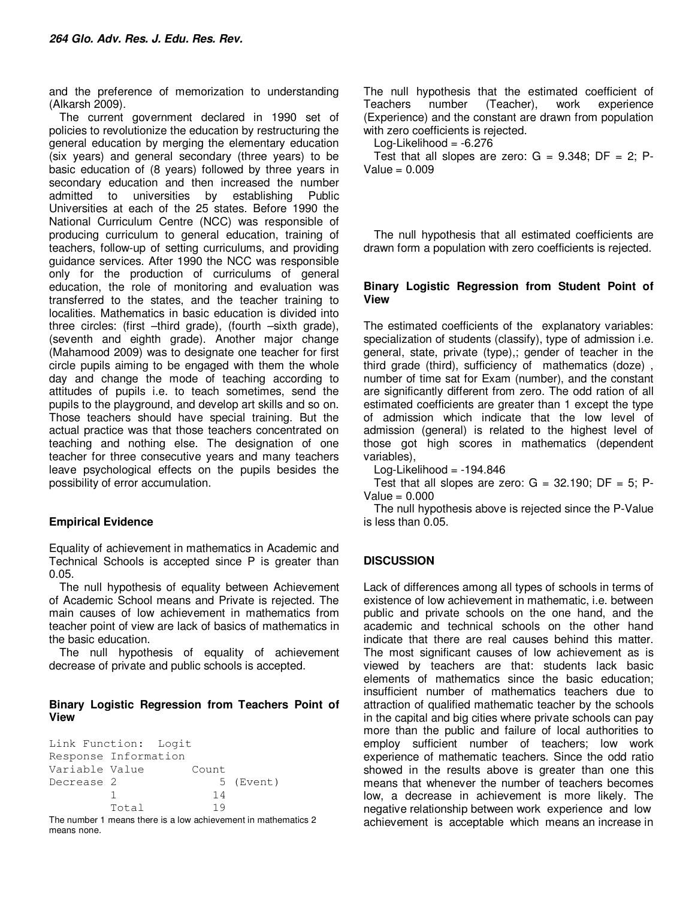and the preference of memorization to understanding (Alkarsh 2009).

The current government declared in 1990 set of policies to revolutionize the education by restructuring the general education by merging the elementary education (six years) and general secondary (three years) to be basic education of (8 years) followed by three years in secondary education and then increased the number admitted to universities by establishing Public Universities at each of the 25 states. Before 1990 the National Curriculum Centre (NCC) was responsible of producing curriculum to general education, training of teachers, follow-up of setting curriculums, and providing guidance services. After 1990 the NCC was responsible only for the production of curriculums of general education, the role of monitoring and evaluation was transferred to the states, and the teacher training to localities. Mathematics in basic education is divided into three circles: (first –third grade), (fourth –sixth grade), (seventh and eighth grade). Another major change (Mahamood 2009) was to designate one teacher for first circle pupils aiming to be engaged with them the whole day and change the mode of teaching according to attitudes of pupils i.e. to teach sometimes, send the pupils to the playground, and develop art skills and so on. Those teachers should have special training. But the actual practice was that those teachers concentrated on teaching and nothing else. The designation of one teacher for three consecutive years and many teachers leave psychological effects on the pupils besides the possibility of error accumulation.

# **Empirical Evidence**

means none.

Equality of achievement in mathematics in Academic and Technical Schools is accepted since P is greater than 0.05.

The null hypothesis of equality between Achievement of Academic School means and Private is rejected. The main causes of low achievement in mathematics from teacher point of view are lack of basics of mathematics in the basic education.

The null hypothesis of equality of achievement decrease of private and public schools is accepted.

## **Binary Logistic Regression from Teachers Point of View**

```
Link Function: Logit 
Response Information 
Variable Value Count 
Decrease 2 5 (Event)
 1 14 
         Total 19 
The number 1 means there is a low achievement in mathematics 2
```
The null hypothesis that the estimated coefficient of Teachers number (Teacher), work experience (Experience) and the constant are drawn from population with zero coefficients is rejected.

Log-Likelihood =  $-6.276$ 

Test that all slopes are zero:  $G = 9.348$ ; DF = 2; P- $Value = 0.009$ 

The null hypothesis that all estimated coefficients are drawn form a population with zero coefficients is rejected.

## **Binary Logistic Regression from Student Point of View**

The estimated coefficients of the explanatory variables: specialization of students (classify), type of admission i.e. general, state, private (type),; gender of teacher in the third grade (third), sufficiency of mathematics (doze) , number of time sat for Exam (number), and the constant are significantly different from zero. The odd ration of all estimated coefficients are greater than 1 except the type of admission which indicate that the low level of admission (general) is related to the highest level of those got high scores in mathematics (dependent variables),

Log-Likelihood  $= -194.846$ 

Test that all slopes are zero:  $G = 32.190$ ; DF = 5; P-Value  $= 0.000$ 

The null hypothesis above is rejected since the P-Value is less than 0.05.

# **DISCUSSION**

Lack of differences among all types of schools in terms of existence of low achievement in mathematic, i.e. between public and private schools on the one hand, and the academic and technical schools on the other hand indicate that there are real causes behind this matter. The most significant causes of low achievement as is viewed by teachers are that: students lack basic elements of mathematics since the basic education; insufficient number of mathematics teachers due to attraction of qualified mathematic teacher by the schools in the capital and big cities where private schools can pay more than the public and failure of local authorities to employ sufficient number of teachers; low work experience of mathematic teachers. Since the odd ratio showed in the results above is greater than one this means that whenever the number of teachers becomes low, a decrease in achievement is more likely. The negative relationship between work experience and low achievement is acceptable which means an increase in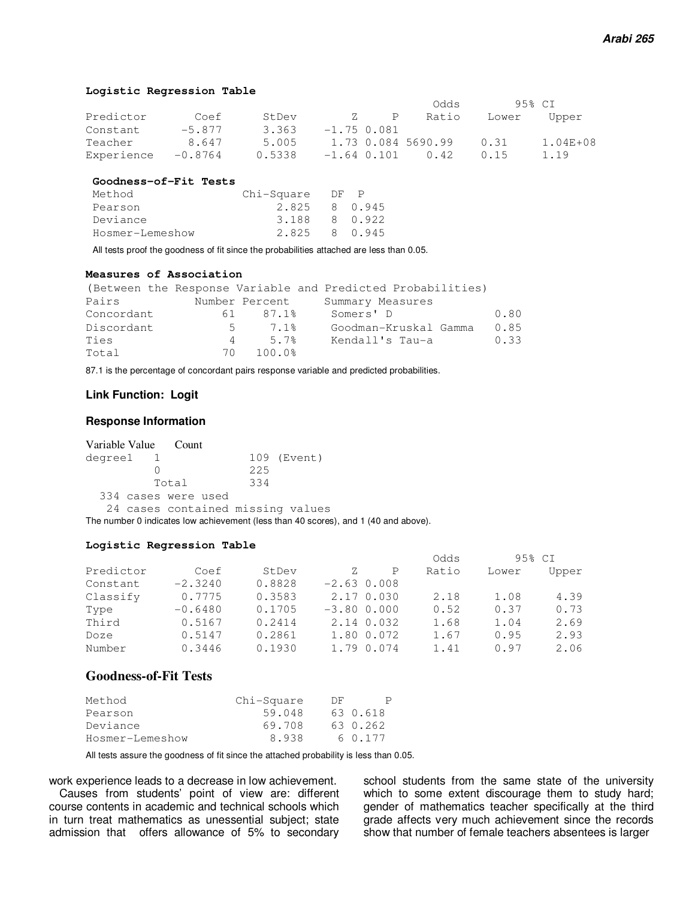#### **Logistic Regression Table**

|            |           |        |               |               | Odds               |       | 95% CT   |
|------------|-----------|--------|---------------|---------------|--------------------|-------|----------|
| Predictor  | Coef      | StDev  | '/.           | P             | Ratio              | Lower | Upper    |
| Constant   | $-5.877$  | 3.363  | $-1.75$ 0.081 |               |                    |       |          |
| Teacher    | 8.647     | 5.005  |               |               | 1.73 0.084 5690.99 | 0.31  | 1.04E+08 |
| Experience | $-0.8764$ | 0.5338 |               | $-1.64$ 0.101 | 0.42               | 0.15  | 1.19     |

#### **Goodness-of-Fit Tests**

| Method          | Chi-Square | DF P |         |
|-----------------|------------|------|---------|
| Pearson         | 2.825      |      | 8 0.945 |
| Deviance        | 3.188      |      | 8 0.922 |
| Hosmer-Lemeshow | 2.825      |      | 8 0.945 |

All tests proof the goodness of fit since the probabilities attached are less than 0.05.

## **Measures of Association**

|            |     |                | (Between the Response Variable and Predicted Probabilities) |      |
|------------|-----|----------------|-------------------------------------------------------------|------|
| Pairs      |     | Number Percent | Summary Measures                                            |      |
| Concordant | 61  | 87.1%          | Somers' D                                                   | 0.80 |
| Discordant |     | $5 -$<br>7.1%  | Goodman-Kruskal Gamma                                       | 0.85 |
| Ties       | 4   | 5.7%           | Kendall's Tau-a                                             | 0.33 |
| Total      | 7 N | 100.0%         |                                                             |      |

87.1 is the percentage of concordant pairs response variable and predicted probabilities.

## **Link Function: Logit**

#### **Response Information**

|         | Variable Value Count              |     |             |
|---------|-----------------------------------|-----|-------------|
| degree1 |                                   |     | 109 (Event) |
|         |                                   | 225 |             |
|         | Total                             | 334 |             |
|         | 334 cases were used               |     |             |
|         | 24 cases contained missing values |     |             |

The number 0 indicates low achievement (less than 40 scores), and 1 (40 and above).

#### **Logistic Regression Table**

|           |           |        |               |   | Odds  |       | 95% CI |
|-----------|-----------|--------|---------------|---|-------|-------|--------|
| Predictor | Coef      | StDev  | Z.            | P | Ratio | Lower | Upper  |
| Constant  | $-2.3240$ | 0.8828 | $-2.63$ 0.008 |   |       |       |        |
| Classify  | 0.7775    | 0.3583 | 2.17 0.030    |   | 2.18  | 1.08  | 4.39   |
| Type      | $-0.6480$ | 0.1705 | $-3.80$ 0.000 |   | 0.52  | 0.37  | 0.73   |
| Third     | 0.5167    | 0.2414 | 2.14 0.032    |   | 1.68  | 1.04  | 2.69   |
| Doze      | 0.5147    | 0.2861 | 1.80 0.072    |   | 1.67  | 0.95  | 2.93   |
| Number    | 0.3446    | 0.1930 | 1,79 0,074    |   | 1.41  | 0.97  | 2.06   |

## **Goodness-of-Fit Tests**

| Method          | Chi-Square | DF. |          |
|-----------------|------------|-----|----------|
| Pearson         | 59.048     |     | 63 0.618 |
| Deviance        | 69.708     |     | 63 0.262 |
| Hosmer-Lemeshow | 8.938      |     | 6 0.177  |

All tests assure the goodness of fit since the attached probability is less than 0.05.

work experience leads to a decrease in low achievement.

Causes from students' point of view are: different course contents in academic and technical schools which in turn treat mathematics as unessential subject; state admission that offers allowance of 5% to secondary

school students from the same state of the university which to some extent discourage them to study hard; gender of mathematics teacher specifically at the third grade affects very much achievement since the records show that number of female teachers absentees is larger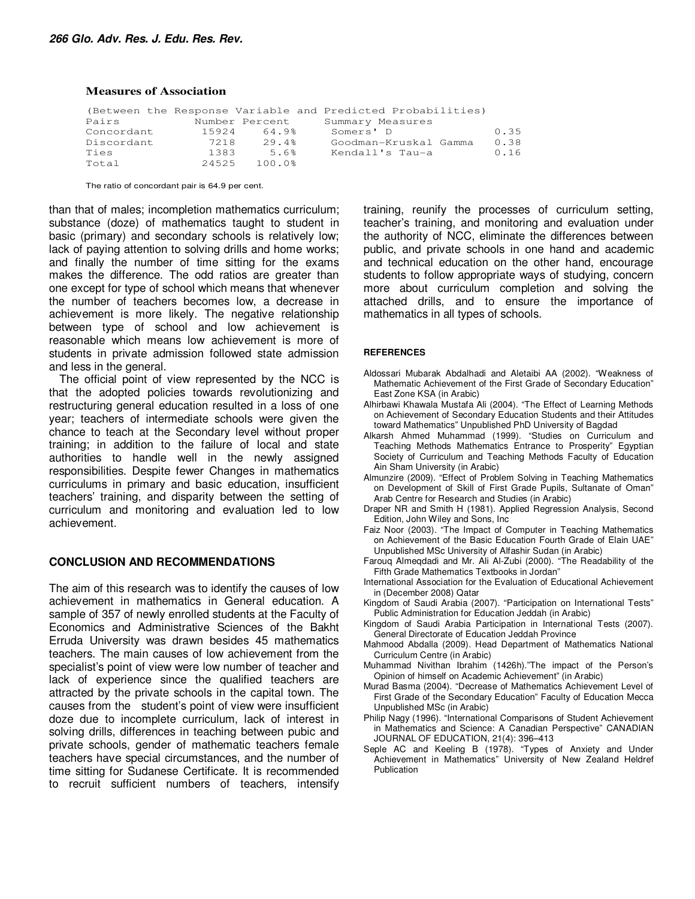#### **Measures of Association**

|            |       |                | (Between the Response Variable and Predicted Probabilities) |      |
|------------|-------|----------------|-------------------------------------------------------------|------|
| Pairs      |       | Number Percent | Summary Measures                                            |      |
| Concordant | 15924 | 64.9%          | Somers' D                                                   | 0.35 |
| Discordant | 7218  | 29.4%          | Goodman-Kruskal Gamma                                       | 0.38 |
| Ties       | 1383  | 5.6%           | Kendall's Tau-a                                             | 0.16 |
| Total      | 24525 | 100.0%         |                                                             |      |

The ratio of concordant pair is 64.9 per cent.

than that of males; incompletion mathematics curriculum; substance (doze) of mathematics taught to student in basic (primary) and secondary schools is relatively low; lack of paying attention to solving drills and home works; and finally the number of time sitting for the exams makes the difference. The odd ratios are greater than one except for type of school which means that whenever the number of teachers becomes low, a decrease in achievement is more likely. The negative relationship between type of school and low achievement is reasonable which means low achievement is more of students in private admission followed state admission and less in the general.

The official point of view represented by the NCC is that the adopted policies towards revolutionizing and restructuring general education resulted in a loss of one year; teachers of intermediate schools were given the chance to teach at the Secondary level without proper training; in addition to the failure of local and state authorities to handle well in the newly assigned responsibilities. Despite fewer Changes in mathematics curriculums in primary and basic education, insufficient teachers' training, and disparity between the setting of curriculum and monitoring and evaluation led to low achievement.

## **CONCLUSION AND RECOMMENDATIONS**

The aim of this research was to identify the causes of low achievement in mathematics in General education. A sample of 357 of newly enrolled students at the Faculty of Economics and Administrative Sciences of the Bakht Erruda University was drawn besides 45 mathematics teachers. The main causes of low achievement from the specialist's point of view were low number of teacher and lack of experience since the qualified teachers are attracted by the private schools in the capital town. The causes from the student's point of view were insufficient doze due to incomplete curriculum, lack of interest in solving drills, differences in teaching between pubic and private schools, gender of mathematic teachers female teachers have special circumstances, and the number of time sitting for Sudanese Certificate. It is recommended to recruit sufficient numbers of teachers, intensify

training, reunify the processes of curriculum setting, teacher's training, and monitoring and evaluation under the authority of NCC, eliminate the differences between public, and private schools in one hand and academic and technical education on the other hand, encourage students to follow appropriate ways of studying, concern more about curriculum completion and solving the attached drills, and to ensure the importance of mathematics in all types of schools.

#### **REFERENCES**

- Aldossari Mubarak Abdalhadi and Aletaibi AA (2002). "Weakness of Mathematic Achievement of the First Grade of Secondary Education" East Zone KSA (in Arabic)
- Alhirbawi Khawala Mustafa Ali (2004). "The Effect of Learning Methods on Achievement of Secondary Education Students and their Attitudes toward Mathematics" Unpublished PhD University of Bagdad
- Alkarsh Ahmed Muhammad (1999). "Studies on Curriculum and Teaching Methods Mathematics Entrance to Prosperity" Egyptian Society of Curriculum and Teaching Methods Faculty of Education Ain Sham University (in Arabic)
- Almunzire (2009). "Effect of Problem Solving in Teaching Mathematics on Development of Skill of First Grade Pupils, Sultanate of Oman" Arab Centre for Research and Studies (in Arabic)
- Draper NR and Smith H (1981). Applied Regression Analysis, Second Edition, John Wiley and Sons, Inc
- Faiz Noor (2003). "The Impact of Computer in Teaching Mathematics on Achievement of the Basic Education Fourth Grade of Elain UAE" Unpublished MSc University of Alfashir Sudan (in Arabic)
- Farouq Almeqdadi and Mr. Ali Al-Zubi (2000). "The Readability of the Fifth Grade Mathematics Textbooks in Jordan"
- International Association for the Evaluation of Educational Achievement in (December 2008) Qatar
- Kingdom of Saudi Arabia (2007). "Participation on International Tests" Public Administration for Education Jeddah (in Arabic)
- Kingdom of Saudi Arabia Participation in International Tests (2007). General Directorate of Education Jeddah Province
- Mahmood Abdalla (2009). Head Department of Mathematics National Curriculum Centre (in Arabic)
- Muhammad Nivithan Ibrahim (1426h)."The impact of the Person's Opinion of himself on Academic Achievement" (in Arabic)
- Murad Basma (2004). "Decrease of Mathematics Achievement Level of First Grade of the Secondary Education" Faculty of Education Mecca Unpublished MSc (in Arabic)
- Philip Nagy (1996). "International Comparisons of Student Achievement in Mathematics and Science: A Canadian Perspective" CANADIAN JOURNAL OF EDUCATION, 21(4): 396–413
- Seple AC and Keeling B (1978). "Types of Anxiety and Under Achievement in Mathematics" University of New Zealand Heldref Publication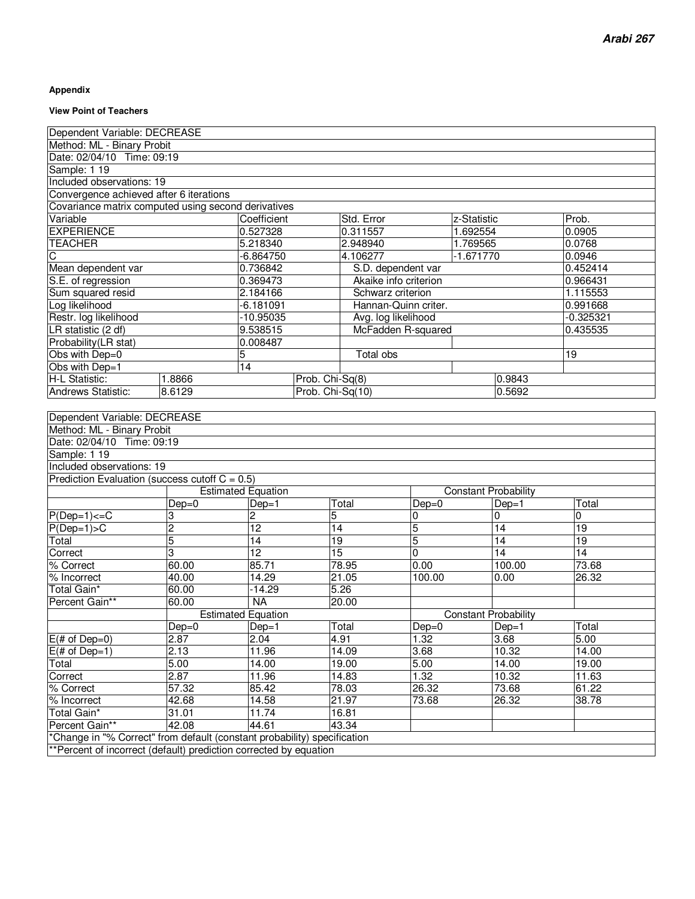### **Appendix**

#### **View Point of Teachers**

| Dependent Variable: DECREASE                                             |                |                           |                  |                       |                |             |                             |             |
|--------------------------------------------------------------------------|----------------|---------------------------|------------------|-----------------------|----------------|-------------|-----------------------------|-------------|
| Method: ML - Binary Probit                                               |                |                           |                  |                       |                |             |                             |             |
| Date: 02/04/10 Time: 09:19                                               |                |                           |                  |                       |                |             |                             |             |
| Sample: 1 19                                                             |                |                           |                  |                       |                |             |                             |             |
| Included observations: 19                                                |                |                           |                  |                       |                |             |                             |             |
| Convergence achieved after 6 iterations                                  |                |                           |                  |                       |                |             |                             |             |
| Covariance matrix computed using second derivatives                      |                |                           |                  |                       |                |             |                             |             |
| Variable                                                                 |                | Coefficient               |                  | Std. Error            |                | z-Statistic |                             | Prob.       |
| <b>EXPERIENCE</b>                                                        |                | 0.527328                  |                  | 0.311557              |                | 1.692554    |                             | 0.0905      |
| <b>TEACHER</b>                                                           |                | 5.218340                  |                  | 2.948940              |                | 1.769565    |                             | 0.0768      |
| C                                                                        |                | $-6.864750$               |                  | 4.106277              |                | $-1.671770$ |                             | 0.0946      |
| Mean dependent var                                                       |                | 0.736842                  |                  | S.D. dependent var    |                |             |                             | 0.452414    |
| S.E. of regression                                                       |                | 0.369473                  |                  | Akaike info criterion |                |             |                             | 0.966431    |
| Sum squared resid                                                        |                | 2.184166                  |                  | Schwarz criterion     |                |             |                             | 1.115553    |
| Log likelihood                                                           |                | $-6.181091$               |                  | Hannan-Quinn criter.  |                |             |                             | 0.991668    |
| Restr. log likelihood                                                    |                | -10.95035                 |                  | Avg. log likelihood   |                |             |                             | $-0.325321$ |
| LR statistic (2 df)                                                      |                | 9.538515                  |                  | McFadden R-squared    |                |             |                             | 0.435535    |
| Probability(LR stat)                                                     |                | 0.008487                  |                  |                       |                |             |                             |             |
| Obs with Dep=0                                                           |                | 5                         |                  | <b>Total obs</b>      |                |             |                             | 19          |
| Obs with Dep=1                                                           |                | 14                        |                  |                       |                |             |                             |             |
| H-L Statistic:                                                           | 1.8866         |                           | Prob. Chi-Sq(8)  |                       |                |             | 0.9843                      |             |
| Andrews Statistic:                                                       | 8.6129         |                           | Prob. Chi-Sq(10) |                       |                |             | 0.5692                      |             |
|                                                                          |                |                           |                  |                       |                |             |                             |             |
| Dependent Variable: DECREASE                                             |                |                           |                  |                       |                |             |                             |             |
| Method: ML - Binary Probit                                               |                |                           |                  |                       |                |             |                             |             |
| Date: 02/04/10 Time: 09:19                                               |                |                           |                  |                       |                |             |                             |             |
| Sample: 1 19                                                             |                |                           |                  |                       |                |             |                             |             |
| Included observations: 19                                                |                |                           |                  |                       |                |             |                             |             |
| Prediction Evaluation (success cutoff $C = 0.5$ )                        |                |                           |                  |                       |                |             |                             |             |
|                                                                          |                | <b>Estimated Equation</b> |                  |                       |                |             | <b>Constant Probability</b> |             |
|                                                                          | $Dep=0$        | $Dep=1$                   |                  | Total                 | $Dep=0$        |             | $Dep=1$                     | Total       |
| $P(Dep=1) \leq C$                                                        | 3              | 2                         | 5                |                       | 0              |             | 0                           | 0           |
| $P(Dep=1) > C$                                                           | $\overline{2}$ | $\overline{12}$           | 14               |                       | 5              |             | 14                          | 19          |
| Total                                                                    | 5              | $\overline{14}$           | 19               |                       | 5              |             | $\overline{14}$             | 19          |
| Correct                                                                  | 3              | $\overline{12}$           | $\overline{15}$  |                       | $\overline{0}$ |             | 14                          | 14          |
| % Correct                                                                | 60.00          | 85.71                     |                  | 78.95                 | 0.00           |             | 100.00                      | 73.68       |
| % Incorrect                                                              | 40.00          | 14.29                     |                  | 21.05                 | 100.00         |             | 0.00                        | 26.32       |
| Total Gain*                                                              | 60.00          | $-14.29$                  |                  | 5.26                  |                |             |                             |             |
| Percent Gain**                                                           | 60.00          | <b>NA</b>                 |                  | 20.00                 |                |             |                             |             |
|                                                                          |                | <b>Estimated Equation</b> |                  |                       |                |             | <b>Constant Probability</b> |             |
|                                                                          | $Dep=0$        | $Dep=1$                   |                  | Total                 | $Dep=0$        |             | $\overline{Dep}=1$          | Total       |
| $E$ (# of Dep=0)                                                         | 2.87           | 2.04                      |                  | 4.91                  | 1.32           |             | 3.68                        | 5.00        |
| $E(\# of Dep=1)$                                                         | 2.13           | 11.96                     |                  | 14.09                 | 3.68           |             | 10.32                       | 14.00       |
| Total                                                                    | 5.00           | 14.00                     |                  | 19.00                 | 5.00           |             | 14.00                       | 19.00       |
| Correct                                                                  | 2.87           | 11.96                     |                  | 14.83                 | 1.32           |             | 10.32                       | 11.63       |
| 57.32<br>85.42<br>78.03<br>26.32<br>73.68<br>61.22<br>% Correct          |                |                           |                  |                       |                |             |                             |             |
| % Incorrect                                                              | 42.68          | 14.58                     |                  | 21.97                 | 73.68          |             | 26.32                       | 38.78       |
| Total Gain*                                                              | 31.01          | 11.74                     |                  | 16.81                 |                |             |                             |             |
| Percent Gain**                                                           | 42.08          | 44.61                     |                  | 43.34                 |                |             |                             |             |
| *Change in "% Correct" from default (constant probability) specification |                |                           |                  |                       |                |             |                             |             |
| **Percent of incorrect (default) prediction corrected by equation        |                |                           |                  |                       |                |             |                             |             |
|                                                                          |                |                           |                  |                       |                |             |                             |             |